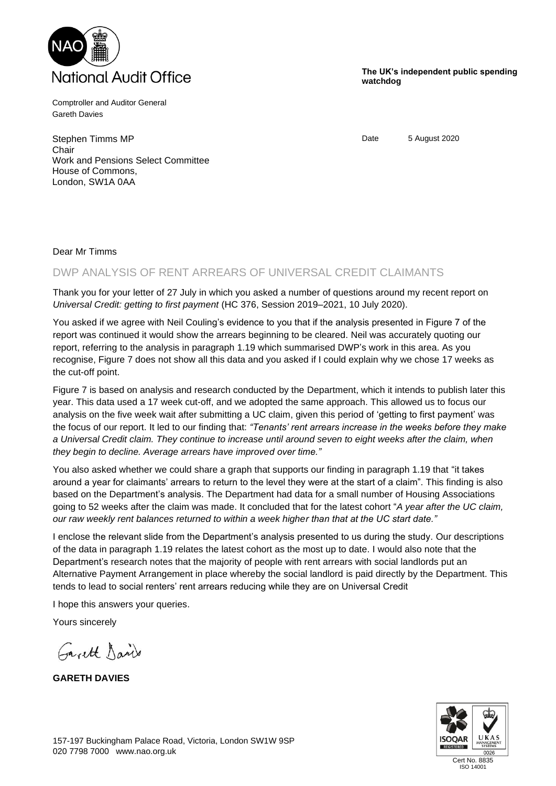

Comptroller and Auditor General Gareth Davies

Stephen Timms MP **Chair** Work and Pensions Select Committee House of Commons, London, SW1A 0AA

**The UK's independent public spending watchdog**

Date 5 August 2020

## Dear Mr Timms

## DWP ANALYSIS OF RENT ARREARS OF UNIVERSAL CREDIT CLAIMANTS

Thank you for your letter of 27 July in which you asked a number of questions around my recent report on *Universal Credit: getting to first payment* (HC 376, Session 2019–2021, 10 July 2020).

You asked if we agree with Neil Couling's evidence to you that if the analysis presented in Figure 7 of the report was continued it would show the arrears beginning to be cleared. Neil was accurately quoting our report, referring to the analysis in paragraph 1.19 which summarised DWP's work in this area. As you recognise, Figure 7 does not show all this data and you asked if I could explain why we chose 17 weeks as the cut-off point.

Figure 7 is based on analysis and research conducted by the Department, which it intends to publish later this year. This data used a 17 week cut-off, and we adopted the same approach. This allowed us to focus our analysis on the five week wait after submitting a UC claim, given this period of 'getting to first payment' was the focus of our report. It led to our finding that: *"Tenants' rent arrears increase in the weeks before they make a Universal Credit claim. They continue to increase until around seven to eight weeks after the claim, when they begin to decline. Average arrears have improved over time."*

You also asked whether we could share a graph that supports our finding in paragraph 1.19 that "it takes around a year for claimants' arrears to return to the level they were at the start of a claim". This finding is also based on the Department's analysis. The Department had data for a small number of Housing Associations going to 52 weeks after the claim was made. It concluded that for the latest cohort "*A year after the UC claim, our raw weekly rent balances returned to within a week higher than that at the UC start date."*

I enclose the relevant slide from the Department's analysis presented to us during the study. Our descriptions of the data in paragraph 1.19 relates the latest cohort as the most up to date. I would also note that the Department's research notes that the majority of people with rent arrears with social landlords put an Alternative Payment Arrangement in place whereby the social landlord is paid directly by the Department. This tends to lead to social renters' rent arrears reducing while they are on Universal Credit

I hope this answers your queries.

Yours sincerely

Garett David

**GARETH DAVIES**



ISO 14001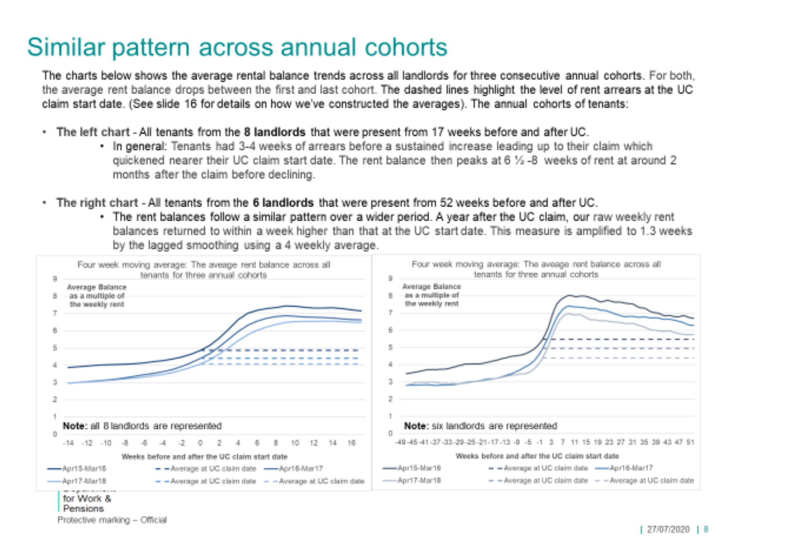## Similar pattern across annual cohorts

The charts below shows the average rental balance trends across all landlords for three consecutive annual cohorts. For both, the average rent balance drops between the first and last cohort. The dashed lines highlight the level of rent arrears at the UC claim start date. (See slide 16 for details on how we've constructed the averages). The annual cohorts of tenants:

- The left chart All tenants from the 8 landlords that were present from 17 weeks before and after UC.  $\mathbf{m}$  .
	- . In general: Tenants had 3-4 weeks of arrears before a sustained increase leading up to their claim which guickened nearer their UC claim start date. The rent balance then peaks at 6 % -8 weeks of rent at around 2 months after the claim before declining.
- The right chart All tenants from the 6 landlords that were present from 52 weeks before and after UC.
	- . The rent balances follow a similar pattern over a wider period. A vear after the UC claim, our raw weekly rent balances returned to within a week higher than that at the UC start date. This measure is amplified to 1.3 weeks by the lagged smoothing using a 4 weekly average.

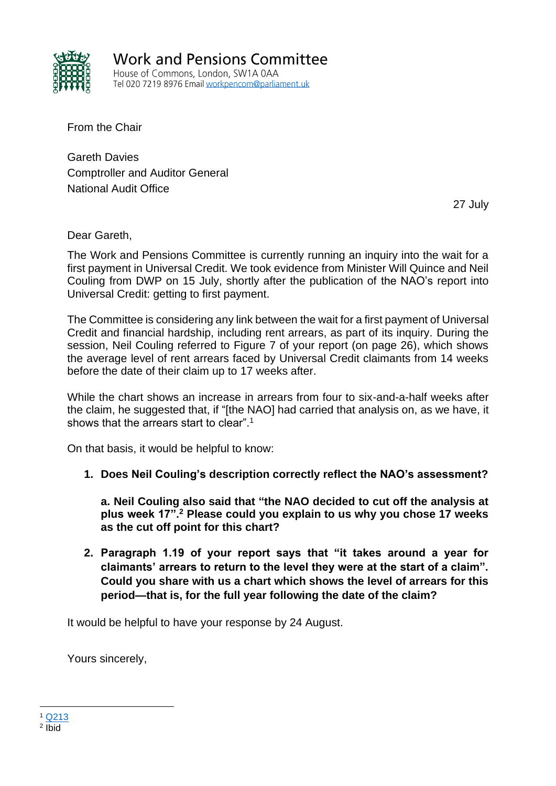

**Work and Pensions Committee** House of Commons, London, SW1A 0AA Tel 020 7219 8976 Email workpencom@parliament.uk

From the Chair

Gareth Davies Comptroller and Auditor General National Audit Office

27 July

Dear Gareth,

The Work and Pensions Committee is currently running an inquiry into the wait for a first payment in Universal Credit. We took evidence from Minister Will Quince and Neil Couling from DWP on 15 July, shortly after the publication of the NAO's report into Universal Credit: getting to first payment.

The Committee is considering any link between the wait for a first payment of Universal Credit and financial hardship, including rent arrears, as part of its inquiry. During the session, Neil Couling referred to Figure 7 of your report (on page 26), which shows the average level of rent arrears faced by Universal Credit claimants from 14 weeks before the date of their claim up to 17 weeks after.

While the chart shows an increase in arrears from four to six-and-a-half weeks after the claim, he suggested that, if "[the NAO] had carried that analysis on, as we have, it shows that the arrears start to clear".<sup>1</sup>

On that basis, it would be helpful to know:

**1. Does Neil Couling's description correctly reflect the NAO's assessment?**

**a. Neil Couling also said that "the NAO decided to cut off the analysis at plus week 17".<sup>2</sup> Please could you explain to us why you chose 17 weeks as the cut off point for this chart?**

**2. Paragraph 1.19 of your report says that "it takes around a year for claimants' arrears to return to the level they were at the start of a claim". Could you share with us a chart which shows the level of arrears for this period—that is, for the full year following the date of the claim?**

It would be helpful to have your response by 24 August.

Yours sincerely,